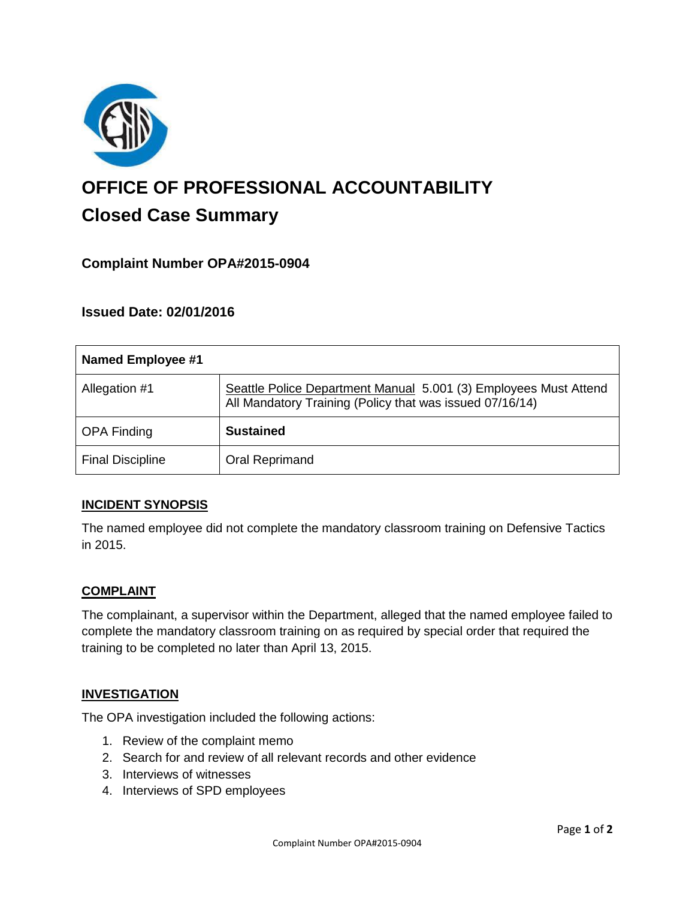

# **OFFICE OF PROFESSIONAL ACCOUNTABILITY Closed Case Summary**

## **Complaint Number OPA#2015-0904**

## **Issued Date: 02/01/2016**

| <b>Named Employee #1</b> |                                                                                                                              |
|--------------------------|------------------------------------------------------------------------------------------------------------------------------|
| Allegation #1            | Seattle Police Department Manual 5.001 (3) Employees Must Attend<br>All Mandatory Training (Policy that was issued 07/16/14) |
| <b>OPA Finding</b>       | <b>Sustained</b>                                                                                                             |
| <b>Final Discipline</b>  | <b>Oral Reprimand</b>                                                                                                        |

### **INCIDENT SYNOPSIS**

The named employee did not complete the mandatory classroom training on Defensive Tactics in 2015.

### **COMPLAINT**

The complainant, a supervisor within the Department, alleged that the named employee failed to complete the mandatory classroom training on as required by special order that required the training to be completed no later than April 13, 2015.

#### **INVESTIGATION**

The OPA investigation included the following actions:

- 1. Review of the complaint memo
- 2. Search for and review of all relevant records and other evidence
- 3. Interviews of witnesses
- 4. Interviews of SPD employees